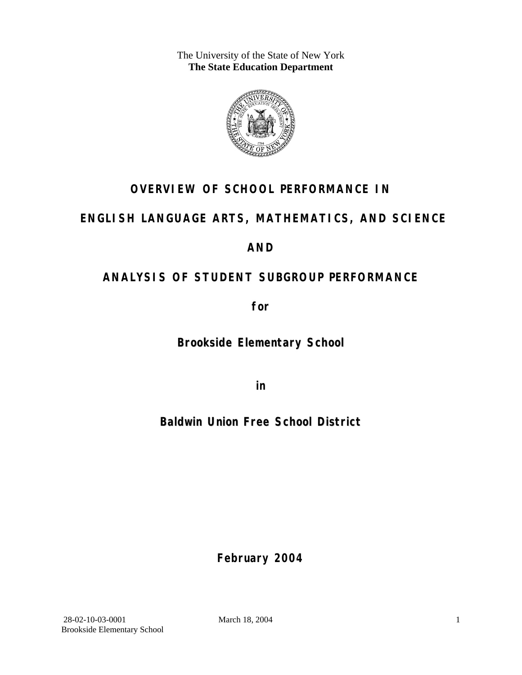The University of the State of New York **The State Education Department** 



## **OVERVIEW OF SCHOOL PERFORMANCE IN**

### **ENGLISH LANGUAGE ARTS, MATHEMATICS, AND SCIENCE**

### **AND**

## **ANALYSIS OF STUDENT SUBGROUP PERFORMANCE**

**for** 

**Brookside Elementary School**

**in** 

## **Baldwin Union Free School District**

**February 2004**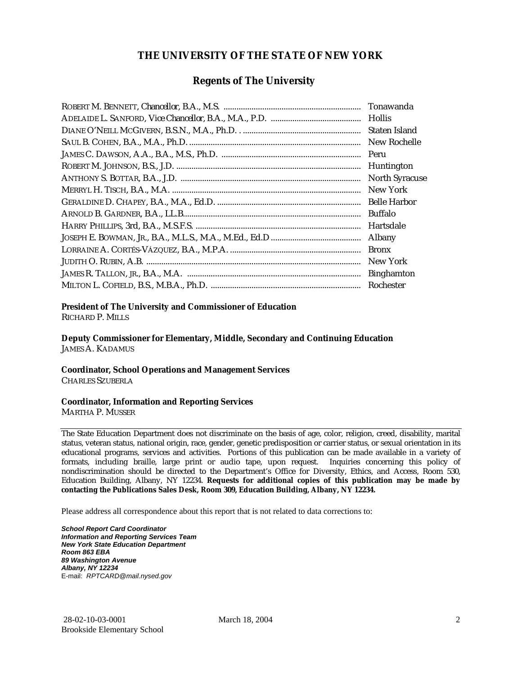#### **THE UNIVERSITY OF THE STATE OF NEW YORK**

#### **Regents of The University**

| Tonawanda             |
|-----------------------|
| <b>Hollis</b>         |
| Staten Island         |
| New Rochelle          |
| Peru                  |
| Huntington            |
| <b>North Syracuse</b> |
| New York              |
| <b>Belle Harbor</b>   |
| Buffalo               |
| Hartsdale             |
| Albany                |
| <b>Bronx</b>          |
| New York              |
| <b>Binghamton</b>     |
| Rochester             |

#### **President of The University and Commissioner of Education**

RICHARD P. MILLS

**Deputy Commissioner for Elementary, Middle, Secondary and Continuing Education**  JAMES A. KADAMUS

#### **Coordinator, School Operations and Management Services**

CHARLES SZUBERLA

#### **Coordinator, Information and Reporting Services**

MARTHA P. MUSSER

The State Education Department does not discriminate on the basis of age, color, religion, creed, disability, marital status, veteran status, national origin, race, gender, genetic predisposition or carrier status, or sexual orientation in its educational programs, services and activities. Portions of this publication can be made available in a variety of formats, including braille, large print or audio tape, upon request. Inquiries concerning this policy of nondiscrimination should be directed to the Department's Office for Diversity, Ethics, and Access, Room 530, Education Building, Albany, NY 12234. **Requests for additional copies of this publication may be made by contacting the Publications Sales Desk, Room 309, Education Building, Albany, NY 12234.** 

Please address all correspondence about this report that is not related to data corrections to:

*School Report Card Coordinator Information and Reporting Services Team New York State Education Department Room 863 EBA 89 Washington Avenue Albany, NY 12234*  E-mail: *RPTCARD@mail.nysed.gov*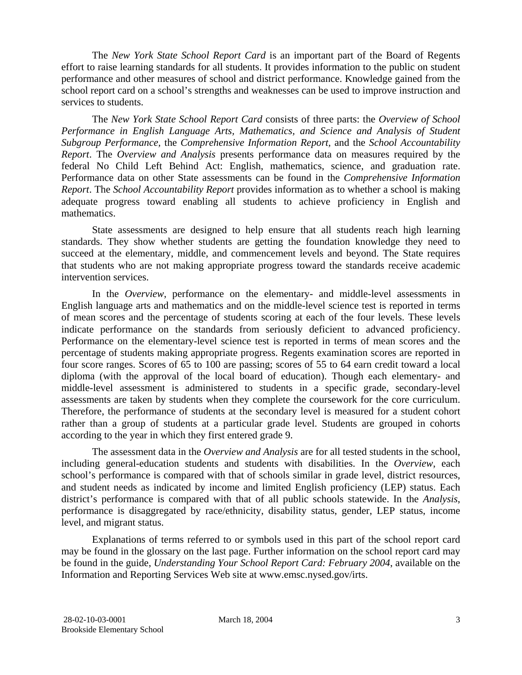The *New York State School Report Card* is an important part of the Board of Regents effort to raise learning standards for all students. It provides information to the public on student performance and other measures of school and district performance. Knowledge gained from the school report card on a school's strengths and weaknesses can be used to improve instruction and services to students.

The *New York State School Report Card* consists of three parts: the *Overview of School Performance in English Language Arts, Mathematics, and Science and Analysis of Student Subgroup Performance,* the *Comprehensive Information Report,* and the *School Accountability Report*. The *Overview and Analysis* presents performance data on measures required by the federal No Child Left Behind Act: English, mathematics, science, and graduation rate. Performance data on other State assessments can be found in the *Comprehensive Information Report*. The *School Accountability Report* provides information as to whether a school is making adequate progress toward enabling all students to achieve proficiency in English and mathematics.

State assessments are designed to help ensure that all students reach high learning standards. They show whether students are getting the foundation knowledge they need to succeed at the elementary, middle, and commencement levels and beyond. The State requires that students who are not making appropriate progress toward the standards receive academic intervention services.

In the *Overview*, performance on the elementary- and middle-level assessments in English language arts and mathematics and on the middle-level science test is reported in terms of mean scores and the percentage of students scoring at each of the four levels. These levels indicate performance on the standards from seriously deficient to advanced proficiency. Performance on the elementary-level science test is reported in terms of mean scores and the percentage of students making appropriate progress. Regents examination scores are reported in four score ranges. Scores of 65 to 100 are passing; scores of 55 to 64 earn credit toward a local diploma (with the approval of the local board of education). Though each elementary- and middle-level assessment is administered to students in a specific grade, secondary-level assessments are taken by students when they complete the coursework for the core curriculum. Therefore, the performance of students at the secondary level is measured for a student cohort rather than a group of students at a particular grade level. Students are grouped in cohorts according to the year in which they first entered grade 9.

The assessment data in the *Overview and Analysis* are for all tested students in the school, including general-education students and students with disabilities. In the *Overview*, each school's performance is compared with that of schools similar in grade level, district resources, and student needs as indicated by income and limited English proficiency (LEP) status. Each district's performance is compared with that of all public schools statewide. In the *Analysis*, performance is disaggregated by race/ethnicity, disability status, gender, LEP status, income level, and migrant status.

Explanations of terms referred to or symbols used in this part of the school report card may be found in the glossary on the last page. Further information on the school report card may be found in the guide, *Understanding Your School Report Card: February 2004*, available on the Information and Reporting Services Web site at www.emsc.nysed.gov/irts.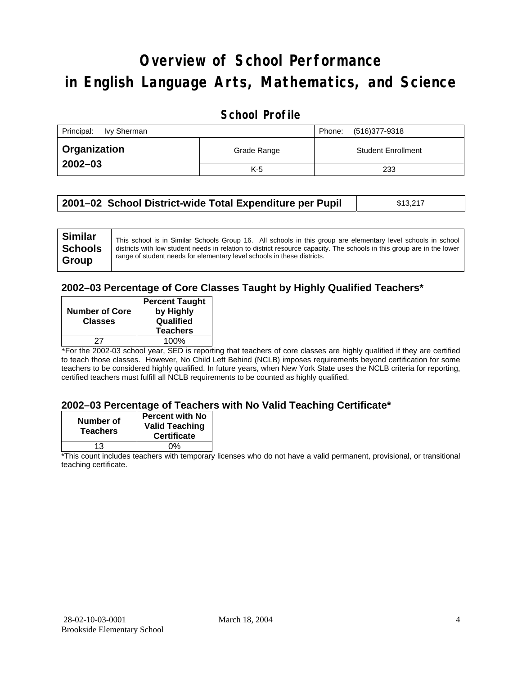# **Overview of School Performance in English Language Arts, Mathematics, and Science**

### **School Profile**

| Principal:<br>Ivy Sherman |             | Phone: | (516)377-9318             |
|---------------------------|-------------|--------|---------------------------|
| <b>Organization</b>       | Grade Range |        | <b>Student Enrollment</b> |
| $2002 - 03$               | $K-5$       |        | 233                       |

|  | 2001–02 School District-wide Total Expenditure per Pupil | \$13,217 |
|--|----------------------------------------------------------|----------|
|--|----------------------------------------------------------|----------|

#### **2002–03 Percentage of Core Classes Taught by Highly Qualified Teachers\***

| <b>Number of Core</b><br><b>Classes</b> | <b>Percent Taught</b><br>by Highly<br>Qualified<br><b>Teachers</b> |
|-----------------------------------------|--------------------------------------------------------------------|
|                                         |                                                                    |
|                                         | 100%                                                               |
|                                         |                                                                    |

\*For the 2002-03 school year, SED is reporting that teachers of core classes are highly qualified if they are certified to teach those classes. However, No Child Left Behind (NCLB) imposes requirements beyond certification for some teachers to be considered highly qualified. In future years, when New York State uses the NCLB criteria for reporting, certified teachers must fulfill all NCLB requirements to be counted as highly qualified.

#### **2002–03 Percentage of Teachers with No Valid Teaching Certificate\***

| Number of<br><b>Teachers</b> | <b>Percent with No</b><br><b>Valid Teaching</b><br><b>Certificate</b> |
|------------------------------|-----------------------------------------------------------------------|
| 13                           | ሰ%                                                                    |

\*This count includes teachers with temporary licenses who do not have a valid permanent, provisional, or transitional teaching certificate.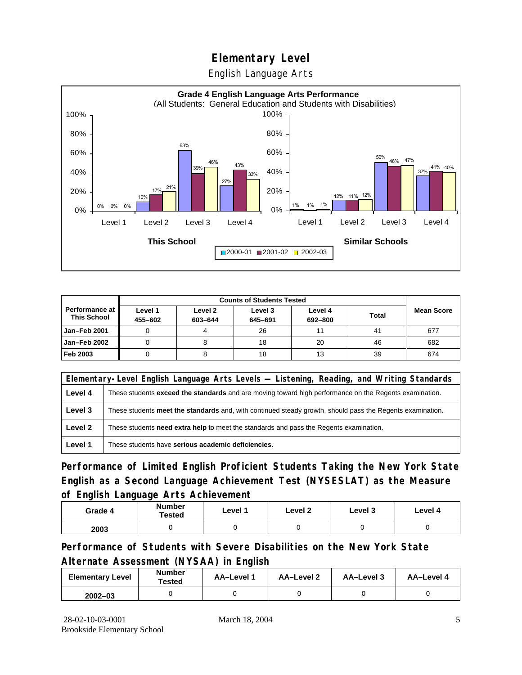English Language Arts



|                                        |                    | <b>Counts of Students Tested</b> |                    |                    |              |                   |
|----------------------------------------|--------------------|----------------------------------|--------------------|--------------------|--------------|-------------------|
| Performance at I<br><b>This School</b> | Level 1<br>455-602 | Level 2<br>603-644               | Level 3<br>645-691 | Level 4<br>692-800 | <b>Total</b> | <b>Mean Score</b> |
| Jan-Feb 2001                           |                    |                                  | 26                 | 11                 | 41           | 677               |
| Jan-Feb 2002                           |                    |                                  | 18                 | 20                 | 46           | 682               |
| Feb 2003                               |                    |                                  | 18                 | 13                 | 39           | 674               |

|         | Elementary-Level English Language Arts Levels — Listening, Reading, and Writing Standards                 |
|---------|-----------------------------------------------------------------------------------------------------------|
| Level 4 | These students exceed the standards and are moving toward high performance on the Regents examination.    |
| Level 3 | These students meet the standards and, with continued steady growth, should pass the Regents examination. |
| Level 2 | These students <b>need extra help</b> to meet the standards and pass the Regents examination.             |
| Level 1 | These students have serious academic deficiencies.                                                        |

**Performance of Limited English Proficient Students Taking the New York State English as a Second Language Achievement Test (NYSESLAT) as the Measure of English Language Arts Achievement**

| Grade 4 | <b>Number</b><br><b>Tested</b> | Level 1 | Level 2 | Level 3 | Level 4 |
|---------|--------------------------------|---------|---------|---------|---------|
| 2003    |                                |         |         |         |         |

**Performance of Students with Severe Disabilities on the New York State Alternate Assessment (NYSAA) in English** 

| <b>Elementary Level</b> | <b>Number</b><br>Tested | AA-Level 1 | AA-Level 2 | AA-Level 3 | AA-Level 4 |
|-------------------------|-------------------------|------------|------------|------------|------------|
| $2002 - 03$             |                         |            |            |            |            |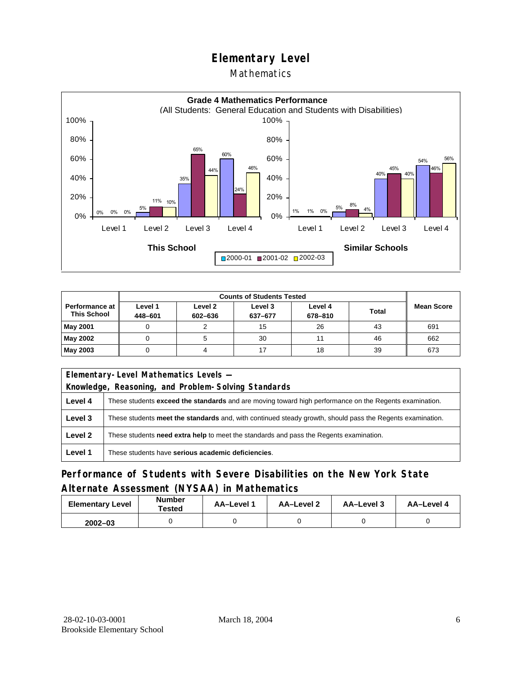### Mathematics



|                                      |                    | <b>Counts of Students Tested</b> |                    |                    |              |                   |  |
|--------------------------------------|--------------------|----------------------------------|--------------------|--------------------|--------------|-------------------|--|
| Performance at<br><b>This School</b> | Level 1<br>448-601 | Level 2<br>602-636               | Level 3<br>637-677 | Level 4<br>678-810 | <b>Total</b> | <b>Mean Score</b> |  |
| <b>May 2001</b>                      |                    |                                  | 15                 | 26                 | 43           | 691               |  |
| May 2002                             |                    |                                  | 30                 | 11                 | 46           | 662               |  |
| May 2003                             |                    |                                  |                    | 18                 | 39           | 673               |  |

|                                                     | Elementary-Level Mathematics Levels -                                                                         |  |  |  |
|-----------------------------------------------------|---------------------------------------------------------------------------------------------------------------|--|--|--|
| Knowledge, Reasoning, and Problem-Solving Standards |                                                                                                               |  |  |  |
| Level 4                                             | These students <b>exceed the standards</b> and are moving toward high performance on the Regents examination. |  |  |  |
| Level 3                                             | These students meet the standards and, with continued steady growth, should pass the Regents examination.     |  |  |  |
| Level 2                                             | These students need extra help to meet the standards and pass the Regents examination.                        |  |  |  |
| Level 1                                             | These students have serious academic deficiencies.                                                            |  |  |  |

### **Performance of Students with Severe Disabilities on the New York State Alternate Assessment (NYSAA) in Mathematics**

| <b>Elementary Level</b> | <b>Number</b><br>Tested | AA-Level 1 | AA-Level 2 | AA-Level 3 | AA-Level 4 |  |
|-------------------------|-------------------------|------------|------------|------------|------------|--|
| $2002 - 03$             |                         |            |            |            |            |  |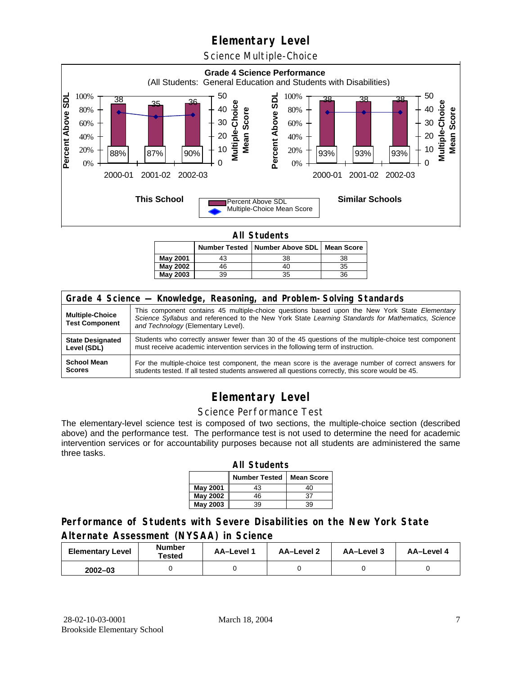Science Multiple-Choice



**All Students** 

|                 |    | Number Tested   Number Above SDL   Mean Score |    |
|-----------------|----|-----------------------------------------------|----|
| May 2001        | 43 | 38                                            | 38 |
| May 2002        | 46 | 40                                            | 35 |
| <b>May 2003</b> | 39 | 35                                            | 36 |

| Grade 4 Science - Knowledge, Reasoning, and Problem-Solving Standards |                                                                                                                                                                                                                                          |  |  |  |  |  |
|-----------------------------------------------------------------------|------------------------------------------------------------------------------------------------------------------------------------------------------------------------------------------------------------------------------------------|--|--|--|--|--|
| <b>Multiple-Choice</b><br><b>Test Component</b>                       | This component contains 45 multiple-choice questions based upon the New York State Elementary<br>Science Syllabus and referenced to the New York State Learning Standards for Mathematics, Science<br>and Technology (Elementary Level). |  |  |  |  |  |
| <b>State Designated</b>                                               | Students who correctly answer fewer than 30 of the 45 questions of the multiple-choice test component                                                                                                                                    |  |  |  |  |  |
| Level (SDL)                                                           | must receive academic intervention services in the following term of instruction.                                                                                                                                                        |  |  |  |  |  |
| <b>School Mean</b>                                                    | For the multiple-choice test component, the mean score is the average number of correct answers for                                                                                                                                      |  |  |  |  |  |
| <b>Scores</b>                                                         | students tested. If all tested students answered all questions correctly, this score would be 45.                                                                                                                                        |  |  |  |  |  |

## **Elementary Level**

#### Science Performance Test

The elementary-level science test is composed of two sections, the multiple-choice section (described above) and the performance test. The performance test is not used to determine the need for academic intervention services or for accountability purposes because not all students are administered the same three tasks.

| <b>All Students</b>                       |    |    |  |  |  |  |  |  |  |
|-------------------------------------------|----|----|--|--|--|--|--|--|--|
| <b>Number Tested</b><br><b>Mean Score</b> |    |    |  |  |  |  |  |  |  |
| May 2001                                  | 43 | 40 |  |  |  |  |  |  |  |
| May 2002                                  | 46 | 37 |  |  |  |  |  |  |  |
| <b>May 2003</b>                           | 39 | 39 |  |  |  |  |  |  |  |

### **Performance of Students with Severe Disabilities on the New York State Alternate Assessment (NYSAA) in Science**

| <b>Elementary Level</b> | <b>Number</b><br>Tested | AA-Level 1 | <b>AA-Level 2</b> | AA-Level 3 | AA-Level 4 |  |
|-------------------------|-------------------------|------------|-------------------|------------|------------|--|
| $2002 - 03$             |                         |            |                   |            |            |  |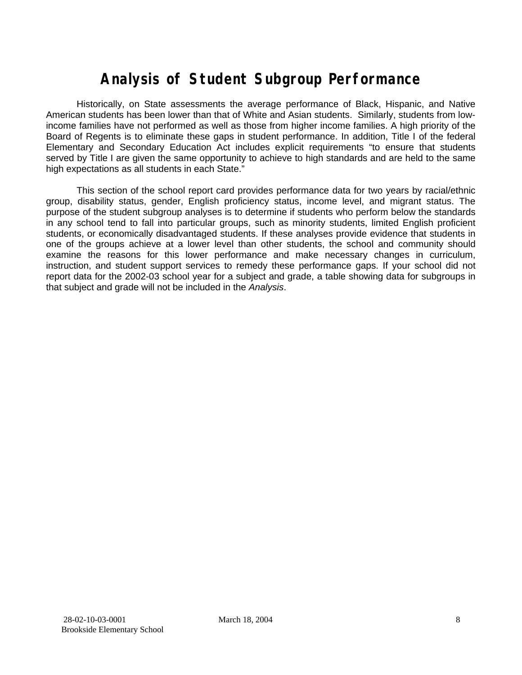# **Analysis of Student Subgroup Performance**

Historically, on State assessments the average performance of Black, Hispanic, and Native American students has been lower than that of White and Asian students. Similarly, students from lowincome families have not performed as well as those from higher income families. A high priority of the Board of Regents is to eliminate these gaps in student performance. In addition, Title I of the federal Elementary and Secondary Education Act includes explicit requirements "to ensure that students served by Title I are given the same opportunity to achieve to high standards and are held to the same high expectations as all students in each State."

This section of the school report card provides performance data for two years by racial/ethnic group, disability status, gender, English proficiency status, income level, and migrant status. The purpose of the student subgroup analyses is to determine if students who perform below the standards in any school tend to fall into particular groups, such as minority students, limited English proficient students, or economically disadvantaged students. If these analyses provide evidence that students in one of the groups achieve at a lower level than other students, the school and community should examine the reasons for this lower performance and make necessary changes in curriculum, instruction, and student support services to remedy these performance gaps. If your school did not report data for the 2002-03 school year for a subject and grade, a table showing data for subgroups in that subject and grade will not be included in the *Analysis*.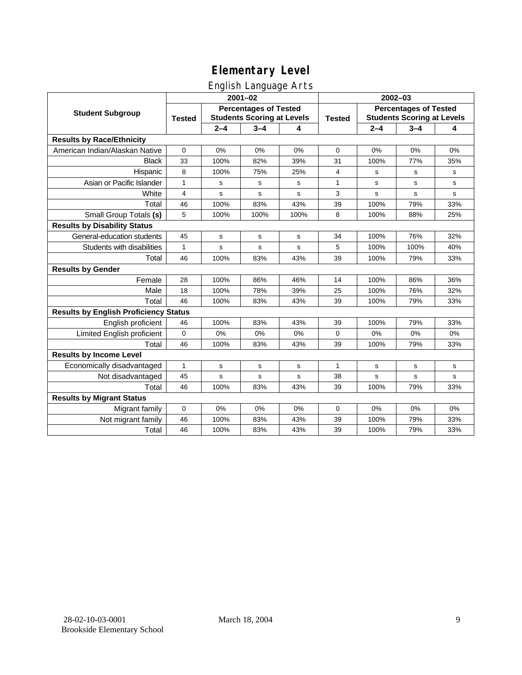### English Language Arts

|                                              | <u>gue a = migning e a a e</u><br>$2001 - 02$ |                                                                   |             |      | $2002 - 03$   |                                                                   |             |     |
|----------------------------------------------|-----------------------------------------------|-------------------------------------------------------------------|-------------|------|---------------|-------------------------------------------------------------------|-------------|-----|
| <b>Student Subgroup</b>                      | <b>Tested</b>                                 | <b>Percentages of Tested</b><br><b>Students Scoring at Levels</b> |             |      | <b>Tested</b> | <b>Percentages of Tested</b><br><b>Students Scoring at Levels</b> |             |     |
|                                              |                                               | $2 - 4$                                                           | $3 - 4$     | 4    |               | $2 - 4$                                                           | $3 - 4$     | 4   |
| <b>Results by Race/Ethnicity</b>             |                                               |                                                                   |             |      |               |                                                                   |             |     |
| American Indian/Alaskan Native               | $\mathbf 0$                                   | 0%                                                                | 0%          | 0%   | 0             | 0%                                                                | 0%          | 0%  |
| <b>Black</b>                                 | 33                                            | 100%                                                              | 82%         | 39%  | 31            | 100%                                                              | 77%         | 35% |
| Hispanic                                     | 8                                             | 100%                                                              | 75%         | 25%  | 4             | s                                                                 | s           | s   |
| Asian or Pacific Islander                    | 1                                             | s                                                                 | s           | s    | 1             | s                                                                 | $\mathbf s$ | s   |
| White                                        | 4                                             | s                                                                 | $\mathbf s$ | s    | 3             | $\mathbf s$                                                       | s           | s   |
| Total                                        | 46                                            | 100%                                                              | 83%         | 43%  | 39            | 100%                                                              | 79%         | 33% |
| Small Group Totals (s)                       | 5                                             | 100%                                                              | 100%        | 100% | 8             | 100%                                                              | 88%         | 25% |
| <b>Results by Disability Status</b>          |                                               |                                                                   |             |      |               |                                                                   |             |     |
| General-education students                   | 45                                            | $\mathbf s$                                                       | $\mathbf s$ | s    | 34            | 100%                                                              | 76%         | 32% |
| Students with disabilities                   | 1                                             | s                                                                 | s           | s    | 5             | 100%                                                              | 100%        | 40% |
| Total                                        | 46                                            | 100%                                                              | 83%         | 43%  | 39            | 100%                                                              | 79%         | 33% |
| <b>Results by Gender</b>                     |                                               |                                                                   |             |      |               |                                                                   |             |     |
| Female                                       | 28                                            | 100%                                                              | 86%         | 46%  | 14            | 100%                                                              | 86%         | 36% |
| Male                                         | 18                                            | 100%                                                              | 78%         | 39%  | 25            | 100%                                                              | 76%         | 32% |
| Total                                        | 46                                            | 100%                                                              | 83%         | 43%  | 39            | 100%                                                              | 79%         | 33% |
| <b>Results by English Proficiency Status</b> |                                               |                                                                   |             |      |               |                                                                   |             |     |
| English proficient                           | 46                                            | 100%                                                              | 83%         | 43%  | 39            | 100%                                                              | 79%         | 33% |
| Limited English proficient                   | $\mathbf 0$                                   | 0%                                                                | 0%          | 0%   | 0             | 0%                                                                | 0%          | 0%  |
| Total                                        | 46                                            | 100%                                                              | 83%         | 43%  | 39            | 100%                                                              | 79%         | 33% |
| <b>Results by Income Level</b>               |                                               |                                                                   |             |      |               |                                                                   |             |     |
| Economically disadvantaged                   | $\mathbf{1}$                                  | s                                                                 | s           | s    | 1             | s                                                                 | s           | s   |
| Not disadvantaged                            | 45                                            | $\mathbf s$                                                       | $\mathbf s$ | s    | 38            | s                                                                 | s           | s   |
| Total                                        | 46                                            | 100%                                                              | 83%         | 43%  | 39            | 100%                                                              | 79%         | 33% |
| <b>Results by Migrant Status</b>             |                                               |                                                                   |             |      |               |                                                                   |             |     |
| Migrant family                               | $\mathbf 0$                                   | 0%                                                                | 0%          | 0%   | $\mathbf 0$   | 0%                                                                | 0%          | 0%  |
| Not migrant family                           | 46                                            | 100%                                                              | 83%         | 43%  | 39            | 100%                                                              | 79%         | 33% |
| Total                                        | 46                                            | 100%                                                              | 83%         | 43%  | 39            | 100%                                                              | 79%         | 33% |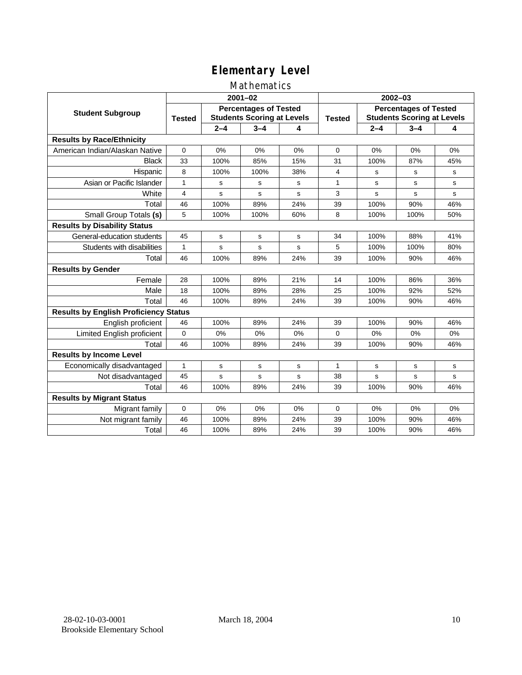### Mathematics

|                                              | $2001 - 02$                                                                        |         |             |               | $2002 - 03$                                                       |         |         |     |
|----------------------------------------------|------------------------------------------------------------------------------------|---------|-------------|---------------|-------------------------------------------------------------------|---------|---------|-----|
| <b>Student Subgroup</b>                      | <b>Percentages of Tested</b><br><b>Students Scoring at Levels</b><br><b>Tested</b> |         |             | <b>Tested</b> | <b>Percentages of Tested</b><br><b>Students Scoring at Levels</b> |         |         |     |
|                                              |                                                                                    | $2 - 4$ | $3 - 4$     | 4             |                                                                   | $2 - 4$ | $3 - 4$ | 4   |
| <b>Results by Race/Ethnicity</b>             |                                                                                    |         |             |               |                                                                   |         |         |     |
| American Indian/Alaskan Native               | 0                                                                                  | 0%      | 0%          | 0%            | $\Omega$                                                          | 0%      | 0%      | 0%  |
| <b>Black</b>                                 | 33                                                                                 | 100%    | 85%         | 15%           | 31                                                                | 100%    | 87%     | 45% |
| Hispanic                                     | 8                                                                                  | 100%    | 100%        | 38%           | 4                                                                 | s       | s       | s   |
| Asian or Pacific Islander                    | $\mathbf{1}$                                                                       | s       | s           | s             | 1                                                                 | s       | s       | s   |
| White                                        | $\overline{4}$                                                                     | s       | $\mathbf s$ | s             | 3                                                                 | s       | s       | s   |
| Total                                        | 46                                                                                 | 100%    | 89%         | 24%           | 39                                                                | 100%    | 90%     | 46% |
| Small Group Totals (s)                       | 5                                                                                  | 100%    | 100%        | 60%           | 8                                                                 | 100%    | 100%    | 50% |
| <b>Results by Disability Status</b>          |                                                                                    |         |             |               |                                                                   |         |         |     |
| General-education students                   | 45                                                                                 | s       | s           | s             | 34                                                                | 100%    | 88%     | 41% |
| Students with disabilities                   | 1                                                                                  | s       | $\mathbf s$ | s             | 5                                                                 | 100%    | 100%    | 80% |
| Total                                        | 46                                                                                 | 100%    | 89%         | 24%           | 39                                                                | 100%    | 90%     | 46% |
| <b>Results by Gender</b>                     |                                                                                    |         |             |               |                                                                   |         |         |     |
| Female                                       | 28                                                                                 | 100%    | 89%         | 21%           | 14                                                                | 100%    | 86%     | 36% |
| Male                                         | 18                                                                                 | 100%    | 89%         | 28%           | 25                                                                | 100%    | 92%     | 52% |
| Total                                        | 46                                                                                 | 100%    | 89%         | 24%           | 39                                                                | 100%    | 90%     | 46% |
| <b>Results by English Proficiency Status</b> |                                                                                    |         |             |               |                                                                   |         |         |     |
| English proficient                           | 46                                                                                 | 100%    | 89%         | 24%           | 39                                                                | 100%    | 90%     | 46% |
| Limited English proficient                   | $\Omega$                                                                           | 0%      | 0%          | 0%            | $\Omega$                                                          | 0%      | 0%      | 0%  |
| Total                                        | 46                                                                                 | 100%    | 89%         | 24%           | 39                                                                | 100%    | 90%     | 46% |
| <b>Results by Income Level</b>               |                                                                                    |         |             |               |                                                                   |         |         |     |
| Economically disadvantaged                   | 1                                                                                  | s       | s           | s             | 1                                                                 | s       | s       | s   |
| Not disadvantaged                            | 45                                                                                 | s       | s           | s             | 38                                                                | s       | s       | s   |
| Total                                        | 46                                                                                 | 100%    | 89%         | 24%           | 39                                                                | 100%    | 90%     | 46% |
| <b>Results by Migrant Status</b>             |                                                                                    |         |             |               |                                                                   |         |         |     |
| Migrant family                               | 0                                                                                  | 0%      | 0%          | 0%            | $\mathbf 0$                                                       | 0%      | 0%      | 0%  |
| Not migrant family                           | 46                                                                                 | 100%    | 89%         | 24%           | 39                                                                | 100%    | 90%     | 46% |
| Total                                        | 46                                                                                 | 100%    | 89%         | 24%           | 39                                                                | 100%    | 90%     | 46% |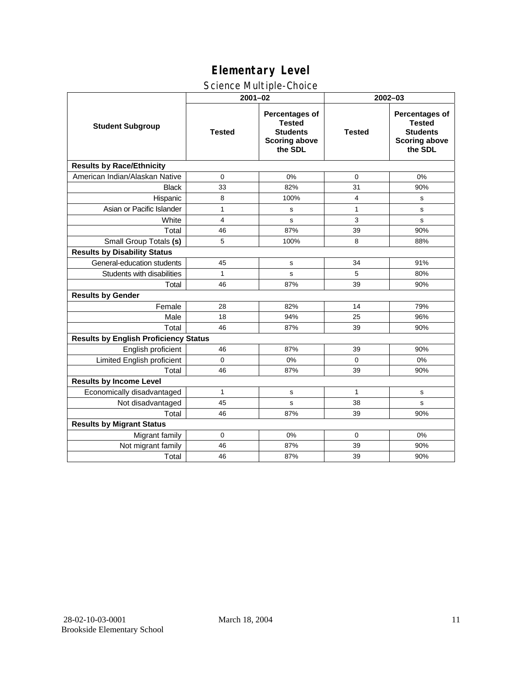### Science Multiple-Choice

|                                              | $2001 - 02$   |                                                                                       | 2002-03       |                                                                                       |  |  |
|----------------------------------------------|---------------|---------------------------------------------------------------------------------------|---------------|---------------------------------------------------------------------------------------|--|--|
| <b>Student Subgroup</b>                      | <b>Tested</b> | Percentages of<br><b>Tested</b><br><b>Students</b><br><b>Scoring above</b><br>the SDL | <b>Tested</b> | Percentages of<br><b>Tested</b><br><b>Students</b><br><b>Scoring above</b><br>the SDL |  |  |
| <b>Results by Race/Ethnicity</b>             |               |                                                                                       |               |                                                                                       |  |  |
| American Indian/Alaskan Native               | $\Omega$      | 0%                                                                                    | $\Omega$      | 0%                                                                                    |  |  |
| <b>Black</b>                                 | 33            | 82%                                                                                   | 31            | 90%                                                                                   |  |  |
| Hispanic                                     | 8             | 100%                                                                                  | 4             | s                                                                                     |  |  |
| Asian or Pacific Islander                    | $\mathbf{1}$  | s                                                                                     | $\mathbf{1}$  | s                                                                                     |  |  |
| White                                        | 4             | s                                                                                     | 3             | s                                                                                     |  |  |
| Total                                        | 46            | 87%                                                                                   | 39            | 90%                                                                                   |  |  |
| Small Group Totals (s)                       | 5             | 100%                                                                                  | 8             | 88%                                                                                   |  |  |
| <b>Results by Disability Status</b>          |               |                                                                                       |               |                                                                                       |  |  |
| General-education students                   | 45            | s                                                                                     | 34            | 91%                                                                                   |  |  |
| Students with disabilities                   | $\mathbf{1}$  | s                                                                                     | 5             | 80%                                                                                   |  |  |
| Total                                        | 46            | 87%                                                                                   | 39            | 90%                                                                                   |  |  |
| <b>Results by Gender</b>                     |               |                                                                                       |               |                                                                                       |  |  |
| Female                                       | 28            | 82%                                                                                   | 14            | 79%                                                                                   |  |  |
| Male                                         | 18            | 94%                                                                                   | 25            | 96%                                                                                   |  |  |
| Total                                        | 46            | 87%                                                                                   | 39            | 90%                                                                                   |  |  |
| <b>Results by English Proficiency Status</b> |               |                                                                                       |               |                                                                                       |  |  |
| English proficient                           | 46            | 87%                                                                                   | 39            | 90%                                                                                   |  |  |
| Limited English proficient                   | 0             | 0%                                                                                    | 0             | 0%                                                                                    |  |  |
| Total                                        | 46            | 87%                                                                                   | 39            | 90%                                                                                   |  |  |
| <b>Results by Income Level</b>               |               |                                                                                       |               |                                                                                       |  |  |
| Economically disadvantaged                   | $\mathbf{1}$  | s                                                                                     | $\mathbf{1}$  | s                                                                                     |  |  |
| Not disadvantaged                            | 45            | s                                                                                     | 38            | s                                                                                     |  |  |
| Total                                        | 46            | 87%                                                                                   | 39            | 90%                                                                                   |  |  |
| <b>Results by Migrant Status</b>             |               |                                                                                       |               |                                                                                       |  |  |
| Migrant family                               | $\Omega$      | 0%                                                                                    | $\Omega$      | 0%                                                                                    |  |  |
| Not migrant family                           | 46            | 87%                                                                                   | 39            | 90%                                                                                   |  |  |
| Total                                        | 46            | 87%                                                                                   | 39            | 90%                                                                                   |  |  |